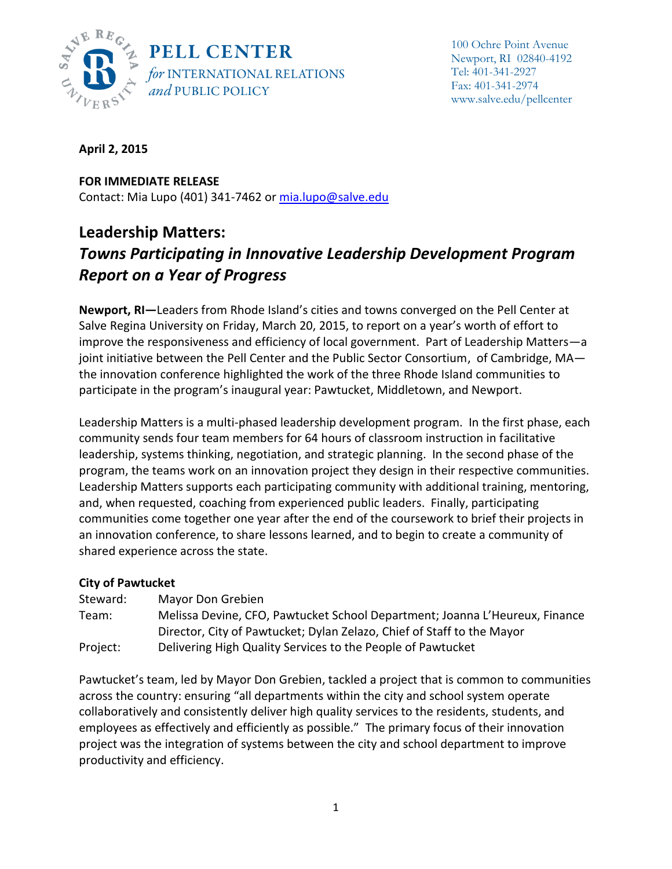

100 Ochre Point Avenue Newport, RI 02840-4192 Tel: 401-341-2927 Fax: 401-341-2974 www.salve.edu/pellcenter

**April 2, 2015**

**FOR IMMEDIATE RELEASE** Contact: Mia Lupo (401) 341-7462 or [mia.lupo@salve.edu](mailto:mia.lupo@salve.edu)

# **Leadership Matters:**  *Towns Participating in Innovative Leadership Development Program Report on a Year of Progress*

**Newport, RI—**Leaders from Rhode Island's cities and towns converged on the Pell Center at Salve Regina University on Friday, March 20, 2015, to report on a year's worth of effort to improve the responsiveness and efficiency of local government. Part of Leadership Matters—a joint initiative between the Pell Center and the Public Sector Consortium, of Cambridge, MA the innovation conference highlighted the work of the three Rhode Island communities to participate in the program's inaugural year: Pawtucket, Middletown, and Newport.

Leadership Matters is a multi-phased leadership development program. In the first phase, each community sends four team members for 64 hours of classroom instruction in facilitative leadership, systems thinking, negotiation, and strategic planning. In the second phase of the program, the teams work on an innovation project they design in their respective communities. Leadership Matters supports each participating community with additional training, mentoring, and, when requested, coaching from experienced public leaders. Finally, participating communities come together one year after the end of the coursework to brief their projects in an innovation conference, to share lessons learned, and to begin to create a community of shared experience across the state.

## **City of Pawtucket**

| Steward: | Mayor Don Grebien                                                           |
|----------|-----------------------------------------------------------------------------|
| Team:    | Melissa Devine, CFO, Pawtucket School Department; Joanna L'Heureux, Finance |
|          | Director, City of Pawtucket; Dylan Zelazo, Chief of Staff to the Mayor      |
| Project: | Delivering High Quality Services to the People of Pawtucket                 |

Pawtucket's team, led by Mayor Don Grebien, tackled a project that is common to communities across the country: ensuring "all departments within the city and school system operate collaboratively and consistently deliver high quality services to the residents, students, and employees as effectively and efficiently as possible." The primary focus of their innovation project was the integration of systems between the city and school department to improve productivity and efficiency.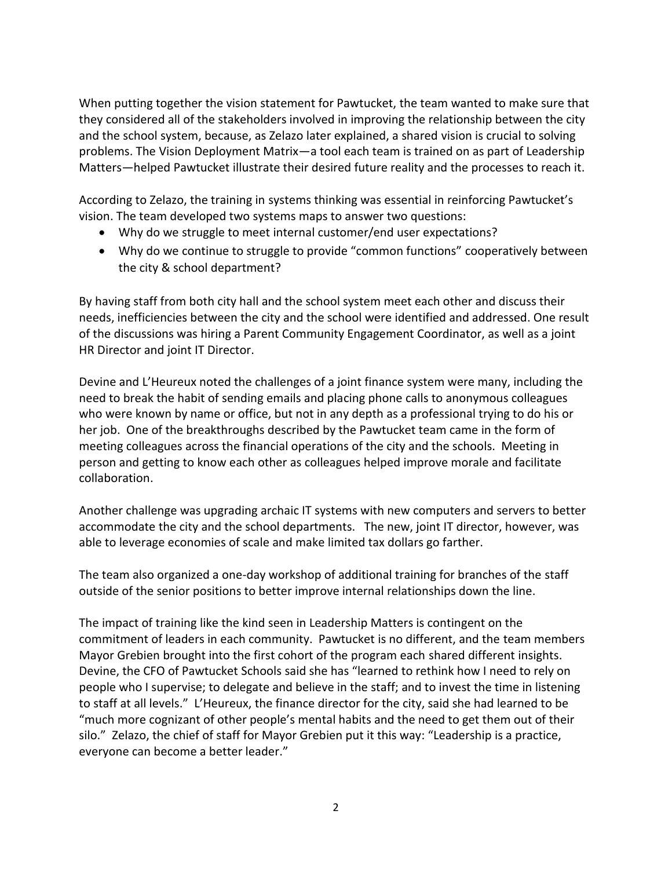When putting together the vision statement for Pawtucket, the team wanted to make sure that they considered all of the stakeholders involved in improving the relationship between the city and the school system, because, as Zelazo later explained, a shared vision is crucial to solving problems. The Vision Deployment Matrix—a tool each team is trained on as part of Leadership Matters—helped Pawtucket illustrate their desired future reality and the processes to reach it.

According to Zelazo, the training in systems thinking was essential in reinforcing Pawtucket's vision. The team developed two systems maps to answer two questions:

- Why do we struggle to meet internal customer/end user expectations?
- Why do we continue to struggle to provide "common functions" cooperatively between the city & school department?

By having staff from both city hall and the school system meet each other and discuss their needs, inefficiencies between the city and the school were identified and addressed. One result of the discussions was hiring a Parent Community Engagement Coordinator, as well as a joint HR Director and joint IT Director.

Devine and L'Heureux noted the challenges of a joint finance system were many, including the need to break the habit of sending emails and placing phone calls to anonymous colleagues who were known by name or office, but not in any depth as a professional trying to do his or her job. One of the breakthroughs described by the Pawtucket team came in the form of meeting colleagues across the financial operations of the city and the schools. Meeting in person and getting to know each other as colleagues helped improve morale and facilitate collaboration.

Another challenge was upgrading archaic IT systems with new computers and servers to better accommodate the city and the school departments. The new, joint IT director, however, was able to leverage economies of scale and make limited tax dollars go farther.

The team also organized a one-day workshop of additional training for branches of the staff outside of the senior positions to better improve internal relationships down the line.

The impact of training like the kind seen in Leadership Matters is contingent on the commitment of leaders in each community. Pawtucket is no different, and the team members Mayor Grebien brought into the first cohort of the program each shared different insights. Devine, the CFO of Pawtucket Schools said she has "learned to rethink how I need to rely on people who I supervise; to delegate and believe in the staff; and to invest the time in listening to staff at all levels." L'Heureux, the finance director for the city, said she had learned to be "much more cognizant of other people's mental habits and the need to get them out of their silo." Zelazo, the chief of staff for Mayor Grebien put it this way: "Leadership is a practice, everyone can become a better leader."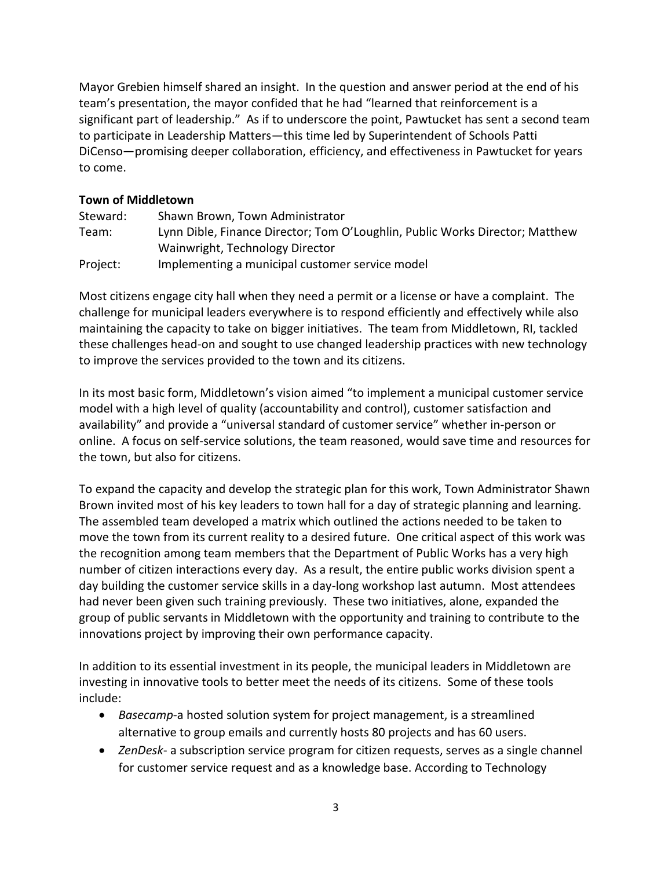Mayor Grebien himself shared an insight. In the question and answer period at the end of his team's presentation, the mayor confided that he had "learned that reinforcement is a significant part of leadership." As if to underscore the point, Pawtucket has sent a second team to participate in Leadership Matters—this time led by Superintendent of Schools Patti DiCenso—promising deeper collaboration, efficiency, and effectiveness in Pawtucket for years to come.

### **Town of Middletown**

| Steward: | Shawn Brown, Town Administrator                                              |
|----------|------------------------------------------------------------------------------|
| Team:    | Lynn Dible, Finance Director; Tom O'Loughlin, Public Works Director; Matthew |
|          | Wainwright, Technology Director                                              |
| Project: | Implementing a municipal customer service model                              |

Most citizens engage city hall when they need a permit or a license or have a complaint. The challenge for municipal leaders everywhere is to respond efficiently and effectively while also maintaining the capacity to take on bigger initiatives. The team from Middletown, RI, tackled these challenges head-on and sought to use changed leadership practices with new technology to improve the services provided to the town and its citizens.

In its most basic form, Middletown's vision aimed "to implement a municipal customer service model with a high level of quality (accountability and control), customer satisfaction and availability" and provide a "universal standard of customer service" whether in-person or online. A focus on self-service solutions, the team reasoned, would save time and resources for the town, but also for citizens.

To expand the capacity and develop the strategic plan for this work, Town Administrator Shawn Brown invited most of his key leaders to town hall for a day of strategic planning and learning. The assembled team developed a matrix which outlined the actions needed to be taken to move the town from its current reality to a desired future. One critical aspect of this work was the recognition among team members that the Department of Public Works has a very high number of citizen interactions every day. As a result, the entire public works division spent a day building the customer service skills in a day-long workshop last autumn. Most attendees had never been given such training previously. These two initiatives, alone, expanded the group of public servants in Middletown with the opportunity and training to contribute to the innovations project by improving their own performance capacity.

In addition to its essential investment in its people, the municipal leaders in Middletown are investing in innovative tools to better meet the needs of its citizens. Some of these tools include:

- *Basecamp*-a hosted solution system for project management, is a streamlined alternative to group emails and currently hosts 80 projects and has 60 users.
- *ZenDesk* a subscription service program for citizen requests, serves as a single channel for customer service request and as a knowledge base. According to Technology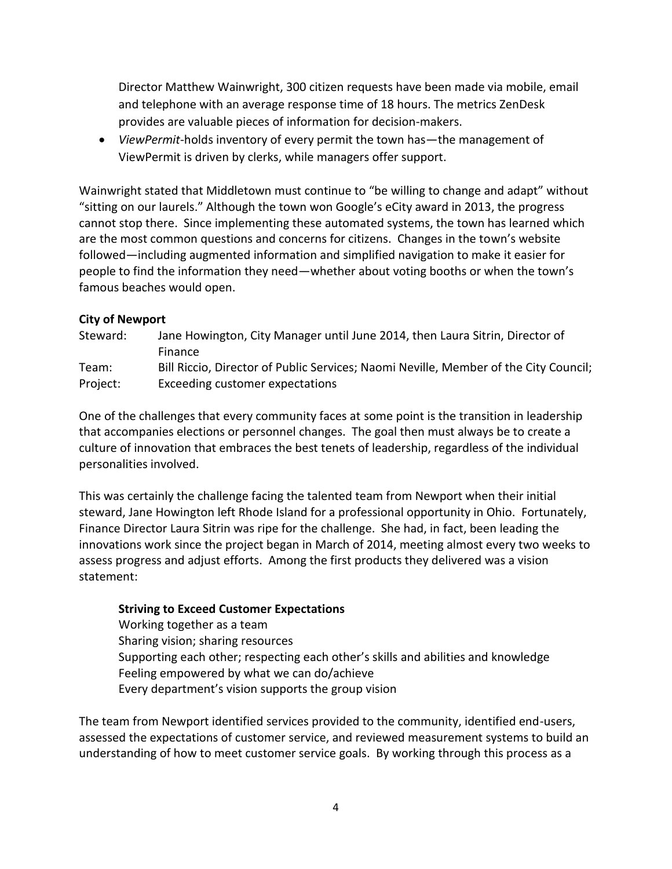Director Matthew Wainwright, 300 citizen requests have been made via mobile, email and telephone with an average response time of 18 hours. The metrics ZenDesk provides are valuable pieces of information for decision-makers.

 *ViewPermit*-holds inventory of every permit the town has—the management of ViewPermit is driven by clerks, while managers offer support.

Wainwright stated that Middletown must continue to "be willing to change and adapt" without "sitting on our laurels." Although the town won Google's eCity award in 2013, the progress cannot stop there. Since implementing these automated systems, the town has learned which are the most common questions and concerns for citizens. Changes in the town's website followed—including augmented information and simplified navigation to make it easier for people to find the information they need—whether about voting booths or when the town's famous beaches would open.

#### **City of Newport**

| Steward: | Jane Howington, City Manager until June 2014, then Laura Sitrin, Director of         |
|----------|--------------------------------------------------------------------------------------|
|          | <b>Finance</b>                                                                       |
| Team:    | Bill Riccio, Director of Public Services; Naomi Neville, Member of the City Council; |
| Project: | Exceeding customer expectations                                                      |

One of the challenges that every community faces at some point is the transition in leadership that accompanies elections or personnel changes. The goal then must always be to create a culture of innovation that embraces the best tenets of leadership, regardless of the individual personalities involved.

This was certainly the challenge facing the talented team from Newport when their initial steward, Jane Howington left Rhode Island for a professional opportunity in Ohio. Fortunately, Finance Director Laura Sitrin was ripe for the challenge. She had, in fact, been leading the innovations work since the project began in March of 2014, meeting almost every two weeks to assess progress and adjust efforts. Among the first products they delivered was a vision statement:

## **Striving to Exceed Customer Expectations**

Working together as a team Sharing vision; sharing resources Supporting each other; respecting each other's skills and abilities and knowledge Feeling empowered by what we can do/achieve Every department's vision supports the group vision

The team from Newport identified services provided to the community, identified end-users, assessed the expectations of customer service, and reviewed measurement systems to build an understanding of how to meet customer service goals. By working through this process as a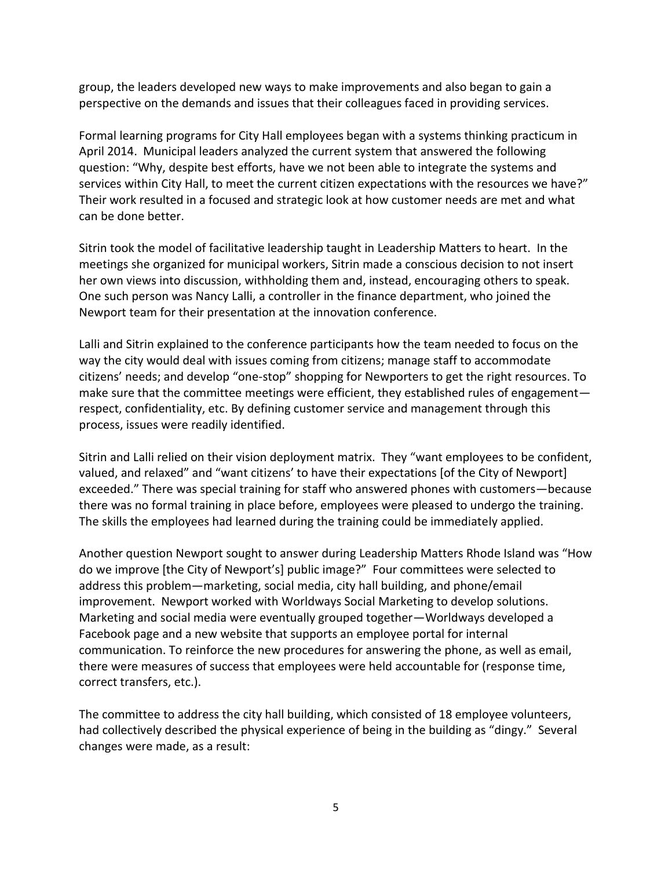group, the leaders developed new ways to make improvements and also began to gain a perspective on the demands and issues that their colleagues faced in providing services.

Formal learning programs for City Hall employees began with a systems thinking practicum in April 2014. Municipal leaders analyzed the current system that answered the following question: "Why, despite best efforts, have we not been able to integrate the systems and services within City Hall, to meet the current citizen expectations with the resources we have?" Their work resulted in a focused and strategic look at how customer needs are met and what can be done better.

Sitrin took the model of facilitative leadership taught in Leadership Matters to heart. In the meetings she organized for municipal workers, Sitrin made a conscious decision to not insert her own views into discussion, withholding them and, instead, encouraging others to speak. One such person was Nancy Lalli, a controller in the finance department, who joined the Newport team for their presentation at the innovation conference.

Lalli and Sitrin explained to the conference participants how the team needed to focus on the way the city would deal with issues coming from citizens; manage staff to accommodate citizens' needs; and develop "one-stop" shopping for Newporters to get the right resources. To make sure that the committee meetings were efficient, they established rules of engagement respect, confidentiality, etc. By defining customer service and management through this process, issues were readily identified.

Sitrin and Lalli relied on their vision deployment matrix. They "want employees to be confident, valued, and relaxed" and "want citizens' to have their expectations [of the City of Newport] exceeded." There was special training for staff who answered phones with customers—because there was no formal training in place before, employees were pleased to undergo the training. The skills the employees had learned during the training could be immediately applied.

Another question Newport sought to answer during Leadership Matters Rhode Island was "How do we improve [the City of Newport's] public image?" Four committees were selected to address this problem—marketing, social media, city hall building, and phone/email improvement. Newport worked with Worldways Social Marketing to develop solutions. Marketing and social media were eventually grouped together—Worldways developed a Facebook page and a new website that supports an employee portal for internal communication. To reinforce the new procedures for answering the phone, as well as email, there were measures of success that employees were held accountable for (response time, correct transfers, etc.).

The committee to address the city hall building, which consisted of 18 employee volunteers, had collectively described the physical experience of being in the building as "dingy." Several changes were made, as a result: